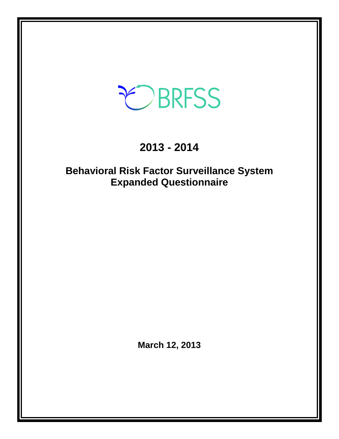# CBRFSS

# **2013 - 2014**

# **Behavioral Risk Factor Surveillance System Expanded Questionnaire**

**March 12, 2013**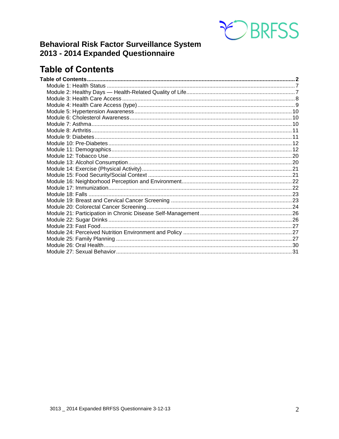

## **Behavioral Risk Factor Surveillance System** 2013 - 2014 Expanded Questionnaire

## <span id="page-1-0"></span>**Table of Contents**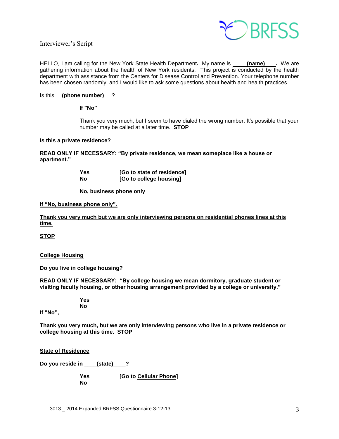Interviewer's Script



HELLO, I am calling for the New York State Health Department. My name is **(name)** Request are gathering information about the health of New York residents. This project is conducted by the health department with assistance from the Centers for Disease Control and Prevention. Your telephone number has been chosen randomly, and I would like to ask some questions about health and health practices.

#### Is this **(phone number)** ?

**If "No"** 

Thank you very much, but I seem to have dialed the wrong number. It's possible that your number may be called at a later time. **STOP**

#### **Is this a private residence?**

**READ ONLY IF NECESSARY: "By private residence, we mean someplace like a house or apartment."**

| Yes | [Go to state of residence] |
|-----|----------------------------|
| No  | [Go to college housing]    |

**No, business phone only**

#### **If "No, business phone only".**

**Thank you very much but we are only interviewing persons on residential phones lines at this time.**

**STOP**

#### **College Housing**

**Do you live in college housing?** 

**READ ONLY IF NECESSARY: "By college housing we mean dormitory, graduate student or visiting faculty housing, or other housing arrangement provided by a college or university."**

> **Yes No**

**If "No",**

**Thank you very much, but we are only interviewing persons who live in a private residence or college housing at this time. STOP** 

#### **State of Residence**

**Do you reside in \_\_\_\_(state)\_\_\_\_?** 

**Yes [Go to Cellular Phone] No**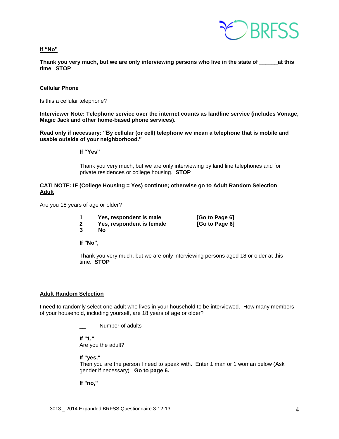

**If "No"**

**Thank you very much, but we are only interviewing persons who live in the state of \_\_\_\_\_\_at this time**. **STOP**

#### **Cellular Phone**

Is this a cellular telephone?

**Interviewer Note: Telephone service over the internet counts as landline service (includes Vonage, Magic Jack and other home-based phone services).**

**Read only if necessary: "By cellular (or cell) telephone we mean a telephone that is mobile and usable outside of your neighborhood."** 

**If "Yes"**

Thank you very much, but we are only interviewing by land line telephones and for private residences or college housing. **STOP**

#### **CATI NOTE: IF (College Housing = Yes) continue; otherwise go to Adult Random Selection Adult**

Are you 18 years of age or older?

- **1 Yes, respondent is male [Go to Page 6]**
- **2** Yes, respondent is female [Go to Page 6]

**3 No**

**If "No",**

Thank you very much, but we are only interviewing persons aged 18 or older at this time. **STOP** 

#### **Adult Random Selection**

I need to randomly select one adult who lives in your household to be interviewed. How many members of your household, including yourself, are 18 years of age or older?

Number of adults

**If "1,"**  Are you the adult?

**If "yes,"** 

Then you are the person I need to speak with. Enter 1 man or 1 woman below (Ask gender if necessary). **Go to page 6.**

**If "no,"**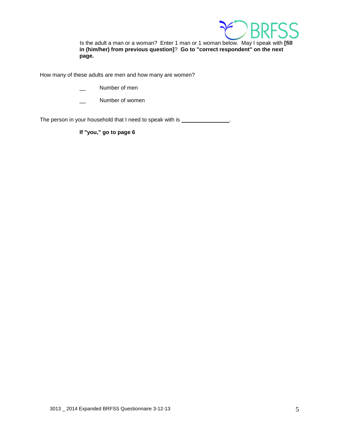

Is the adult a man or a woman? Enter 1 man or 1 woman below. May I speak with **[fill in (him/her) from previous question]**? **Go to "correct respondent" on the next page.**

How many of these adults are men and how many are women?

- Number of men
- Number of women

The person in your household that I need to speak with is \_\_\_\_\_\_\_\_\_\_\_\_\_\_\_.

**If "you," go to page 6**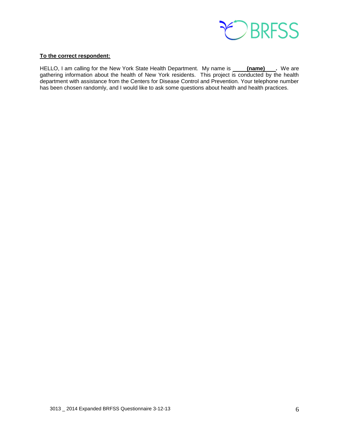

#### **To the correct respondent:**

HELLO, I am calling for the New York State Health Department. My name is **(name) .** We are gathering information about the health of New York residents. This project is conducted by the health department with assistance from the Centers for Disease Control and Prevention. Your telephone number has been chosen randomly, and I would like to ask some questions about health and health practices.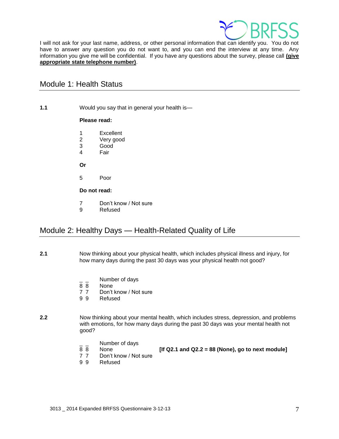

I will not ask for your last name, address, or other personal information that can identify you. You do not have to answer any question you do not want to, and you can end the interview at any time. Any information you give me will be confidential. If you have any questions about the survey, please call **(give appropriate state telephone number)**.

## <span id="page-6-0"></span>Module 1: Health Status

**1.1** Would you say that in general your health is—

#### **Please read:**

- 1 Excellent
- 2 Very good
- 3 Good
- 4 Fair
- **Or**
- 5 Poor
- **Do not read:**
- 7 Don't know / Not sure
- 9 Refused

## <span id="page-6-1"></span>Module 2: Healthy Days — Health-Related Quality of Life

- **2.1** Now thinking about your physical health, which includes physical illness and injury, for how many days during the past 30 days was your physical health not good?
	- $\frac{1}{8}$   $\frac{1}{8}$  Number of days
	- None
	- 7 7 Don't know / Not sure
	- 9 9 Refused
- **2.2** Now thinking about your mental health, which includes stress, depression, and problems with emotions, for how many days during the past 30 days was your mental health not good?
	- $\frac{1}{8}$   $\frac{1}{8}$  Number of days
	-

8 8 None **[If Q2.1 and Q2.2 = 88 (None), go to next module]** 

- 7 7 Don't know / Not sure
- 9 9 Refused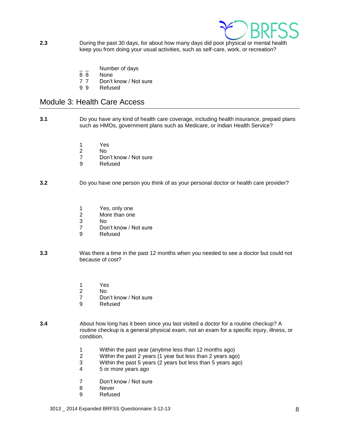

- **2.3** During the past 30 days, for about how many days did poor physical or mental health keep you from doing your usual activities, such as self-care, work, or recreation?
	- $\frac{1}{8}$   $\frac{1}{8}$  Number of days
	- **None**
	- 7 7 Don't know / Not sure
	- 9 9 Refused

## <span id="page-7-0"></span>Module 3: Health Care Access

- **3.1** Do you have any kind of health care coverage, including health insurance, prepaid plans such as HMOs, government plans such as Medicare, or Indian Health Service?
	- 1 Yes
	- 2 No
	- 7 Don't know / Not sure
	- 9 Refused

#### **3.2** Do you have one person you think of as your personal doctor or health care provider?

- 1 Yes, only one<br>2 More than one
- More than one
- 3 No
- 7 Don't know / Not sure
- 9 Refused
- **3.3** Was there a time in the past 12 months when you needed to see a doctor but could not because of cost?
	- 1 Yes
	- 2 No
	- 7 Don't know / Not sure
	- 9 Refused
- **3.4** About how long has it been since you last visited a doctor for a routine checkup? A routine checkup is a general physical exam, not an exam for a specific injury, illness, or condition.
	- 1 Within the past year (anytime less than 12 months ago)
	- 2 Within the past 2 years (1 year but less than 2 years ago)
	- 3 Within the past 5 years (2 years but less than 5 years ago)
	- 4 5 or more years ago
	- 7 Don't know / Not sure
	- 8 Never
	- 9 Refused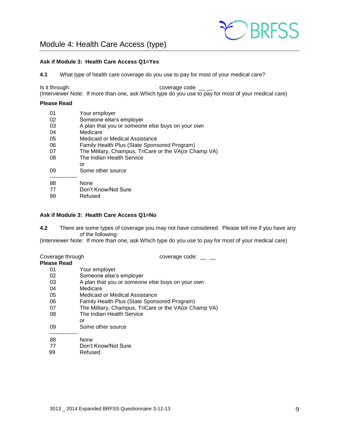

#### <span id="page-8-0"></span>**Ask if Module 3: Health Care Access Q1=Yes**

**4.1** What type of health care coverage do you use to pay for most of your medical care?

Is it through:  $\sim$  coverage code  $\sim$ (Interviewer Note: If more than one, ask Which type do you use to pay for most of your medical care)

#### **Please Read**

| 01 | Your employer                                         |
|----|-------------------------------------------------------|
| 02 | Someone else's employer                               |
| 03 | A plan that you or someone else buys on your own      |
| 04 | Medicare                                              |
| 05 | Medicaid or Medical Assistance                        |
| 06 | Family Health Plus (State Sponsored Program)          |
| 07 | The Military, Champus, TriCare or the VA(or Champ VA) |
| 08 | The Indian Health Service                             |
|    | or                                                    |
| 09 | Some other source                                     |
|    |                                                       |
| 88 | None                                                  |
| 77 | Don't Know/Not Sure                                   |

99 Refused

#### **Ask if Module 3: Health Care Access Q1=No**

**4.2** There are some types of coverage you may not have considered. Please tell me if you have any of the following:

(Interviewer Note: If more than one, ask Which type do you use to pay for most of your medical care)

Coverage through coverage code: \_\_ \_

- **Please Read**
	- 01 Your employer<br>02 Someone else's
	- Someone else's employer
	- 03 A plan that you or someone else buys on your own
	- 04 Medicare
	- 05 Medicaid or Medical Assistance
	- 06 Family Health Plus (State Sponsored Program)<br>07 The Military. Champus. TriCare or the VA(or Ch
	- The Military, Champus, TriCare or the VA(or Champ VA)
	- 08 The Indian Health Service
	- or
	- 09 Some other source ---------------
	- 88 None
	- 77 Don't Know/Not Sure
	- 99 Refused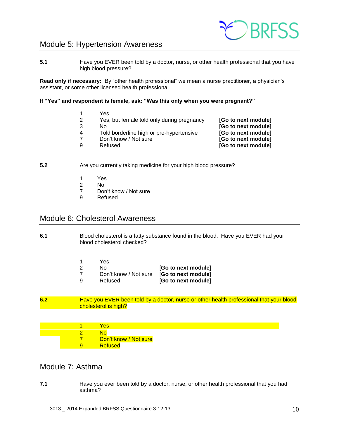

## <span id="page-9-0"></span>Module 5: Hypertension Awareness

**5.1** Have you EVER been told by a doctor, nurse, or other health professional that you have high blood pressure?

**Read only if necessary:** By "other health professional" we mean a nurse practitioner, a physician's assistant, or some other licensed health professional.

#### **If "Yes" and respondent is female, ask: "Was this only when you were pregnant?"**

- 1 Yes<br>2 Yes. 2 Yes, but female told only during pregnancy **[Go to next module]** 3 No **[Go to next module]** 4 Told borderline high or pre-hypertensive **[Go to next module]**
	- 7 Don't know / Not sure **[Go to next module]**
	-

9 Refused **[Go to next module]**

- **5.2** Are you currently taking medicine for your high blood pressure?
	- 1 Yes
	- 2 No
	- 7 Don't know / Not sure
	- 9 Refused

## <span id="page-9-1"></span>Module 6: Cholesterol Awareness

**6.1** Blood cholesterol is a fatty substance found in the blood. Have you EVER had your blood cholesterol checked?

|     | Yes                   |                     |
|-----|-----------------------|---------------------|
| -2  | N٥                    | [Go to next module] |
| -7  | Don't know / Not sure | [Go to next module] |
| - q | Refused               | [Go to next module] |

**6.2** Have you EVER been told by a doctor, nurse or other health professional that your blood cholesterol is high?

1 Yes 2 No Don't know / Not sure 9 Refused

## <span id="page-9-2"></span>Module 7: Asthma

**7.1** Have you ever been told by a doctor, nurse, or other health professional that you had asthma?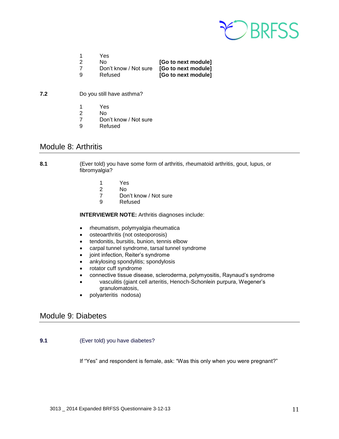

|    | Yes.                  |                     |
|----|-----------------------|---------------------|
| -2 | No.                   | [Go to next module] |
| -7 | Don't know / Not sure | [Go to next module] |
| ۰q | Refused               | [Go to next module] |

- **7.2** Do you still have asthma?
	- 1 Yes
	- 2 No<br>7 Dor
	- Don't know / Not sure
	- 9 Refused

## <span id="page-10-0"></span>Module 8: Arthritis

**8.1** (Ever told) you have some form of arthritis, rheumatoid arthritis, gout, lupus, or fibromyalgia?

- 1 Yes
- 2 No<br>7 Dor
- Don't know / Not sure
- 9 Refused

**INTERVIEWER NOTE:** Arthritis diagnoses include:

- rheumatism, polymyalgia rheumatica
- osteoarthritis (not osteoporosis)
- **•** tendonitis, bursitis, bunion, tennis elbow
- carpal tunnel syndrome, tarsal tunnel syndrome
- joint infection, Reiter's syndrome
- ankylosing spondylitis; spondylosis
- rotator cuff syndrome
- connective tissue disease, scleroderma, polymyositis, Raynaud's syndrome
- vasculitis (giant cell arteritis, Henoch-Schonlein purpura, Wegener's granulomatosis,
- polyarteritis nodosa)

## <span id="page-10-1"></span>Module 9: Diabetes

**9.1** (Ever told) you have diabetes?

If "Yes" and respondent is female, ask: "Was this only when you were pregnant?"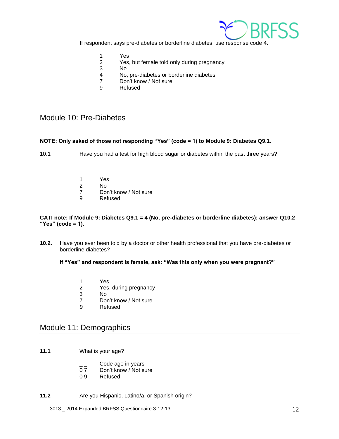

If respondent says pre-diabetes or borderline diabetes, use response code 4.

- 1 Yes<br>2 Yes.
- Yes, but female told only during pregnancy
- 3 No
- 4 No, pre-diabetes or borderline diabetes
- 7 Don't know / Not sure
- 9 Refused

## <span id="page-11-0"></span>Module 10: Pre-Diabetes

#### **NOTE: Only asked of those not responding "Yes" (code = 1) to Module 9: Diabetes Q9.1.**

10.**1** Have you had a test for high blood sugar or diabetes within the past three years?

- 1 Yes
- 2 No
- 7 Don't know / Not sure<br>9 Refused
- **Refused**

#### **CATI note: If Module 9: Diabetes Q9.1 = 4 (No, pre-diabetes or borderline diabetes); answer Q10.2 "Yes" (code = 1).**

**10.2.** Have you ever been told by a doctor or other health professional that you have pre-diabetes or borderline diabetes?

**If "Yes" and respondent is female, ask: "Was this only when you were pregnant?"** 

- 1 Yes<br>2 Yes.
- Yes, during pregnancy
- 3 No
- 7 Don't know / Not sure
- 9 Refused

## <span id="page-11-1"></span>Module 11: Demographics

- **11.1** What is your age?
	- $\frac{1}{2}$  Code age in years<br>0.7 Don't know / Not su
	- Don't know / Not sure
	- 09 Refused
- **11.2** Are you Hispanic, Latino/a, or Spanish origin?

3013 \_ 2014 Expanded BRFSS Questionnaire 3-12-13 12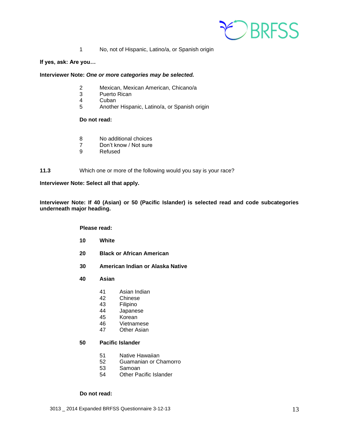

1 No, not of Hispanic, Latino/a, or Spanish origin

#### **If yes, ask: Are you…**

#### **Interviewer Note:** *One or more categories may be selected.*

- 2 Mexican, Mexican American, Chicano/a
- 3 Puerto Rican<br>4 Cuban
- **Cuban**
- 5 Another Hispanic, Latino/a, or Spanish origin

#### **Do not read:**

- 8 No additional choices
- 7 Don't know / Not sure
- 9 Refused
- **11.3** Which one or more of the following would you say is your race?

**Interviewer Note: Select all that apply.**

**Interviewer Note: If 40 (Asian) or 50 (Pacific Islander) is selected read and code subcategories underneath major heading.**

**Please read:**

- **10 White**
- **20 Black or African American**
- **30 American Indian or Alaska Native**
- **40 Asian**
	- 41 Asian Indian
	- 42 Chinese
	- 43 Filipino<br>44 Japanes
	- Japanese
	- 45 Korean
	- 46 Vietnamese<br>47 Other Asian
	- **Other Asian**

#### **50 Pacific Islander**

- 51 Native Hawaiian
- 52 Guamanian or Chamorro
- 53 Samoan
- 54 Other Pacific Islander

#### **Do not read:**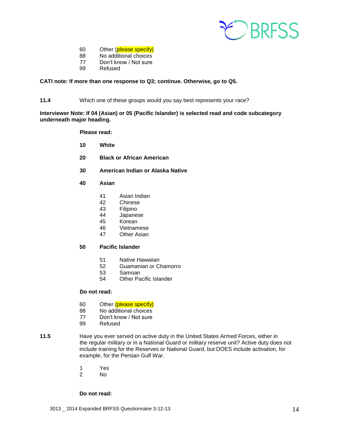

- Other (please specify)
- No additional choices
- Don't know / Not sure
- Refused

#### **CATI note: If more than one response to Q3; continue. Otherwise, go to Q5.**

**11.4** Which one of these groups would you say best represents your race?

**Interviewer Note: If 04 (Asian) or 05 (Pacific Islander) is selected read and code subcategory underneath major heading.**

#### **Please read:**

- **White**
- **Black or African American**
- **American Indian or Alaska Native**
- **Asian**
	- Asian Indian
	- Chinese
	- Filipino
	- Japanese
	- Korean
	- Vietnamese
	- Other Asian

#### **Pacific Islander**

- Native Hawaiian
- Guamanian or Chamorro
- Samoan
- Other Pacific Islander

#### **Do not read:**

- 60 Other (please specify)<br>88 No additional choices
- No additional choices
- Don't know / Not sure
- Refused
- **11.5** Have you ever served on active duty in the United States Armed Forces, either in the regular military or in a National Guard or military reserve unit? Active duty does not include training for the Reserves or National Guard, but DOES include activation, for example, for the Persian Gulf War.
	- Yes
	- No

#### **Do not read:**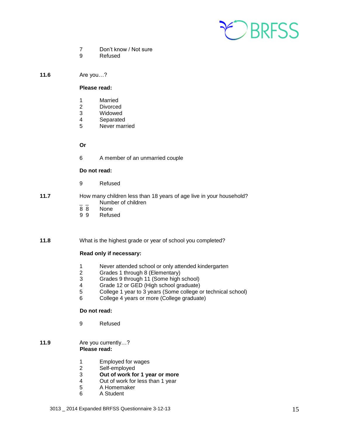

- 7 Don't know / Not sure
- 9 Refused
- **11.6** Are you…?

#### **Please read:**

- 1 Married
- 2 Divorced<br>3 Widowed
- 3 Widowed<br>4 Separated
- **Separated**
- 5 Never married

#### **Or**

6 A member of an unmarried couple

#### **Do not read:**

9 Refused

## **11.7** How many children less than 18 years of age live in your household?  $\frac{1}{8}$   $\frac{1}{8}$  Number of children

- 8 8 None<br>9 9 Refus
- **Refused**

#### **11.8** What is the highest grade or year of school you completed?

#### **Read only if necessary:**

- 1 Never attended school or only attended kindergarten
- 2 Grades 1 through 8 (Elementary)
- 3 Grades 9 through 11 (Some high school)
- 4 Grade 12 or GED (High school graduate)
- 5 College 1 year to 3 years (Some college or technical school)
- 6 College 4 years or more (College graduate)

#### **Do not read:**

9 Refused

#### **11.9** Are you currently…? **Please read:**

- 1 Employed for wages
- 2 Self-employed
- 3 **Out of work for 1 year or more**
- 4 Out of work for less than 1 year<br>5 A Homemaker
- 5 A Homemaker
- 6 A Student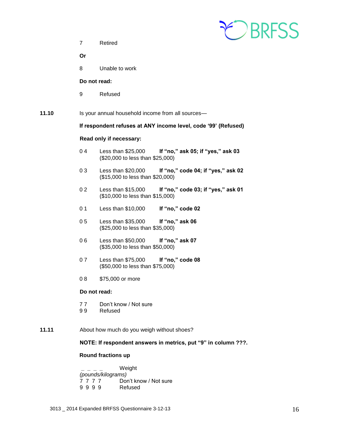EDBRESS

7 Retired

**Or**

8 Unable to work

#### **Do not read:**

9 Refused

**11.10** Is your annual household income from all sources—

#### **If respondent refuses at ANY income level, code '99' (Refused)**

#### **Read only if necessary:**

- 0 4 Less than \$25,000 **If "no," ask 05; if "yes," ask 03** (\$20,000 to less than \$25,000)
- 0 3 Less than \$20,000 **If "no," code 04; if "yes," ask 02** (\$15,000 to less than \$20,000)
- 0 2 Less than \$15,000 **If "no," code 03; if "yes," ask 01** (\$10,000 to less than \$15,000)
- 0 1 Less than \$10,000 **If "no," code 02**
- 0 5 Less than \$35,000 **If "no," ask 06** (\$25,000 to less than \$35,000)
- 0 6 Less than \$50,000 **If "no," ask 07** (\$35,000 to less than \$50,000)
- 0 7 Less than \$75,000 **If "no," code 08** (\$50,000 to less than \$75,000)
- 0 8 \$75,000 or more

#### **Do not read:**

- 77 Don't know / Not sure<br>99 Refused
- **Refused**
- **11.11** About how much do you weigh without shoes?

#### **NOTE: If respondent answers in metrics, put "9" in column ???.**

#### **Round fractions up**

**\_ \_ \_ \_** Weight *(pounds/kilograms)* Don't know / Not sure<br>Refused 9 9 9 9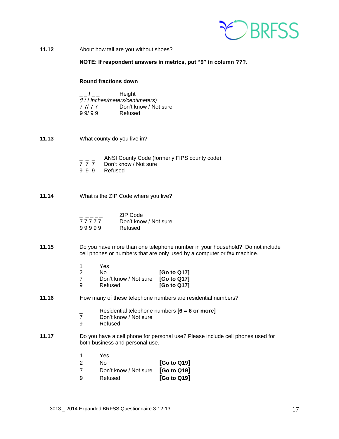

| About how tall are you without shoes?<br>11.12 |  |
|------------------------------------------------|--|
|------------------------------------------------|--|

**NOTE: If respondent answers in metrics, put "9" in column ???.**

#### **Round fractions down**

|                                   | Height                |  |  |
|-----------------------------------|-----------------------|--|--|
| (f t / inches/meters/centimeters) |                       |  |  |
| 77/77                             | Don't know / Not sure |  |  |
| 99/99                             | Refused               |  |  |

- **11.13** What county do you live in?
	- $\frac{1}{7}$   $\frac{1}{7}$  ANSI County Code (formerly FIPS county code)<br>7 7 7 Don't know / Not sure
	- 7 7 7 Don't know / Not sure<br>9 9 9 Refused
	- **Refused**
- **11.14** What is the ZIP Code where you live?

|       | ZIP Code              |
|-------|-----------------------|
| 77777 | Don't know / Not sure |
| 99999 | Refused               |

- **11.15** Do you have more than one telephone number in your household? Do not include cell phones or numbers that are only used by a computer or fax machine.
	- 1 Yes

| 2 | N٥                    | [Go to Q17] |
|---|-----------------------|-------------|
| 7 | Don't know / Not sure | [Go to Q17] |
| 9 | Refused               | [Go to Q17] |

#### **11.16** How many of these telephone numbers are residential numbers?

- \_ Residential telephone numbers **[6 = 6 or more]**
- Don't know / Not sure
- 9 Refused
- **11.17** Do you have a cell phone for personal use? Please include cell phones used for both business and personal use.
	- 1 Yes

| 2        | N٥                                | [G <sub>o</sub> to Q <sub>19</sub> ] |
|----------|-----------------------------------|--------------------------------------|
| 7        | Don't know / Not sure [Go to Q19] |                                      |
| <b>g</b> | Refused                           | [G <sub>o</sub> to Q19]              |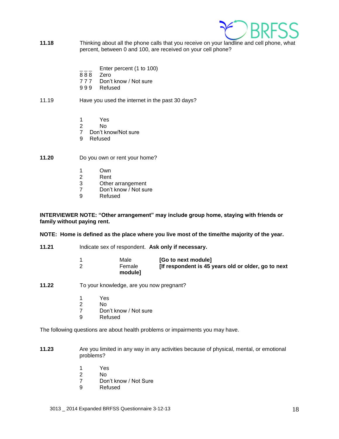

- **11.18** Thinking about all the phone calls that you receive on your landline and cell phone, what percent, between 0 and 100, are received on your cell phone?
	- Enter percent (1 to 100)
	- 8 8 8 Zero
	- 7 7 7 Don't know / Not sure
	- 999 Refused

#### 11.19 Have you used the internet in the past 30 days?

- 1 Yes
- 2 No
- 7 Don't know/Not sure
- 9 Refused

**11.20** Do you own or rent your home?

- 1 Own<br>2 Rent
- **Rent**
- 3 Other arrangement<br>7 Don't know / Not su
- Don't know / Not sure
- 9 Refused

**INTERVIEWER NOTE: "Other arrangement" may include group home, staying with friends or family without paying rent.**

**NOTE: Home is defined as the place where you live most of the time/the majority of the year.** 

- **11.21** Indicate sex of respondent. **Ask only if necessary.**
	- 1 Male **[Go to next module]**<br>2 Female **IIf respondent is 45** 2 Female **[If respondent is 45 years old or older, go to next module]**
- **11.22** To your knowledge, are you now pregnant?
	- 1 Yes
	- 2 No
	- 7 Don't know / Not sure<br>9 Refused
	- **Refused**

The following questions are about health problems or impairments you may have.

- **11.23** Are you limited in any way in any activities because of physical, mental, or emotional problems?
	- 1 Yes
	- 2 No
	- 7 Don't know / Not Sure<br>9 Refused
	- **Refused**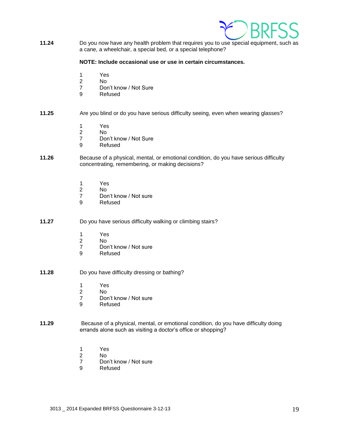

**11.24** Do you now have any health problem that requires you to use special equipment, such as a cane, a wheelchair, a special bed, or a special telephone?

#### **NOTE: Include occasional use or use in certain circumstances.**

- 1 Yes<br>2 No
- $No$
- 7 Don't know / Not Sure
- 9 Refused

#### **11.25** Are you blind or do you have serious difficulty seeing, even when wearing glasses?

- 1 Yes
- N<sub>o</sub>
- 7 Don't know / Not Sure
- 9 Refused
- **11.26** Because of a physical, mental, or emotional condition, do you have serious difficulty concentrating, remembering, or making decisions?
	- 1 Yes<br>2 No
	- 2 No<br>7 Dor
	- Don't know / Not sure
	- 9 Refused
- **11.27** Do you have serious difficulty walking or climbing stairs?
	- 1 Yes
	- 2 No
	- 7 Don't know / Not sure
	- 9 Refused
- **11.28** Do you have difficulty dressing or bathing?
	- 1 Yes
	- 2 No
	- 7 Don't know / Not sure
	- 9 Refused
- **11.29** Because of a physical, mental, or emotional condition, do you have difficulty doing errands alone such as visiting a doctor's office or shopping?
	- 1 Yes
	- 2 No
	- 7 Don't know / Not sure
	- 9 Refused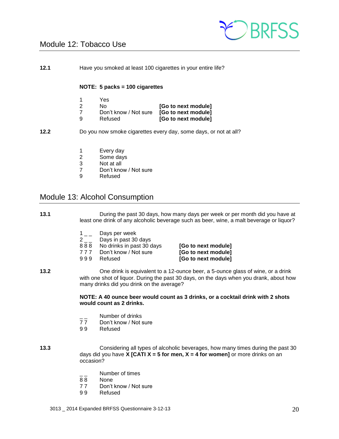

## <span id="page-19-0"></span>Module 12: Tobacco Use

**12.1** Have you smoked at least 100 cigarettes in your entire life?

#### **NOTE: 5 packs = 100 cigarettes**

| 1   | Yes                   |                     |
|-----|-----------------------|---------------------|
| - 2 | N٥                    | [Go to next module] |
|     | Don't know / Not sure | [Go to next module] |
| 9   | Refused               | [Go to next module] |

**12.2** Do you now smoke cigarettes every day, some days, or not at all?

- 1 Every day
- 2 Some days<br>3 Not at all
- Not at all
- 7 Don't know / Not sure
- 9 Refused

## <span id="page-19-1"></span>Module 13: Alcohol Consumption

#### **13.1** During the past 30 days, how many days per week or per month did you have at least one drink of any alcoholic beverage such as beer, wine, a malt beverage or liquor?

- $1\_\_$  Days per week
- 2 \_ \_ Days in past 30 days
- 8 8 8 No drinks in past 30 days **[Go to next module]**
- 7 7 7 Don't know / Not sure **[Go to next module]**
- 

9 9 9 Refused **[Go to next module]**

**13.2** One drink is equivalent to a 12-ounce beer, a 5-ounce glass of wine, or a drink with one shot of liquor. During the past 30 days, on the days when you drank, about how many drinks did you drink on the average?

#### **NOTE: A 40 ounce beer would count as 3 drinks, or a cocktail drink with 2 shots would count as 2 drinks.**

- \_\_ Number of drinks<br>77 Don't know / Not s
- Don't know / Not sure
- 9 9 Refused
- **13.3** Considering all types of alcoholic beverages, how many times during the past 30 days did you have **X [CATI X = 5 for men, X = 4 for women]** or more drinks on an occasion?
	- Number of times
	- 8 8 None
	- 77 Don't know / Not sure
	- 9 9 Refused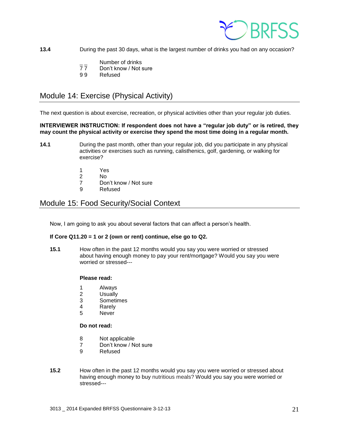

**13.4** During the past 30 days, what is the largest number of drinks you had on any occasion?

- Number of drinks
- 7 7 Don't know / Not sure
- 9 9 Refused

## <span id="page-20-0"></span>Module 14: Exercise (Physical Activity)

The next question is about exercise, recreation, or physical activities other than your regular job duties.

**INTERVIEWER INSTRUCTION: If respondent does not have a "regular job duty" or is retired, they may count the physical activity or exercise they spend the most time doing in a regular month.**

- **14.1** During the past month, other than your regular job, did you participate in any physical activities or exercises such as running, calisthenics, golf, gardening, or walking for exercise?
	- 1 Yes
	- 2 No
	- 7 Don't know / Not sure
	- 9 Refused

## <span id="page-20-1"></span>Module 15: Food Security/Social Context

Now, I am going to ask you about several factors that can affect a person's health.

#### **If Core Q11.20 = 1 or 2 (own or rent) continue, else go to Q2.**

**15.1** How often in the past 12 months would you say you were worried or stressed about having enough money to pay your rent/mortgage? Would you say you were worried or stressed---

#### **Please read:**

- 1 Always
- 2 Usually
- 3 Sometimes
- 4 Rarely
- 5 Never

#### **Do not read:**

- 8 Not applicable
- 7 Don't know / Not sure
- 9 Refused
- **15.2** How often in the past 12 months would you say you were worried or stressed about having enough money to buy nutritious meals? Would you say you were worried or stressed---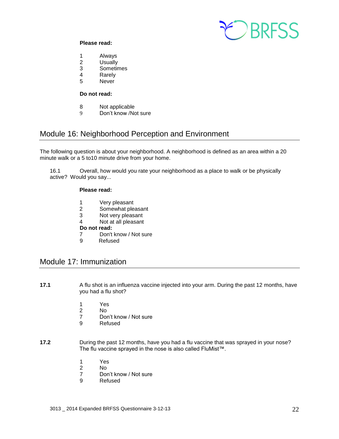

#### **Please read:**

- 1 Always
- 2 Usually
- 3 Sometimes
- 4 Rarely
- 5 Never

#### **Do not read:**

- 8 Not applicable<br>9 Don't know /No
- Don't know /Not sure

## <span id="page-21-0"></span>Module 16: Neighborhood Perception and Environment

The following question is about your neighborhood. A neighborhood is defined as an area within a 20 minute walk or a 5 to10 minute drive from your home.

16.1 Overall, how would you rate your neighborhood as a place to walk or be physically active? Would you say...

#### **Please read:**

- 1 Very pleasant<br>2 Somewhat ple
- Somewhat pleasant
- 3 Not very pleasant
- 4 Not at all pleasant

#### **Do not read:**

- 7 Don't know / Not sure<br>9 Refused
- **Refused**

## <span id="page-21-1"></span>Module 17: Immunization

- **17.1** A flu shot is an influenza vaccine injected into your arm. During the past 12 months, have you had a flu shot?
	- 1 Yes
	- 2 No
	- 7 Don't know / Not sure<br>9 Refused
	- **Refused**
- **17.2** During the past 12 months, have you had a flu vaccine that was sprayed in your nose? The flu vaccine sprayed in the nose is also called FluMist™.
	- 1 Yes
	- 2 No
	- Don't know / Not sure
	- 9 Refused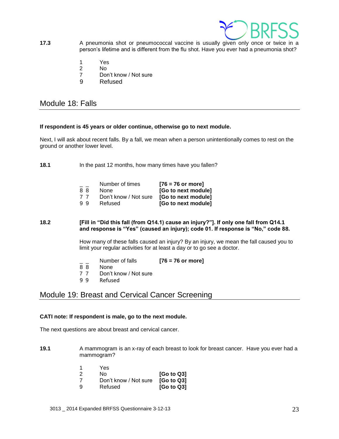

- **17.3** A pneumonia shot or pneumococcal vaccine is usually given only once or twice in a person's lifetime and is different from the flu shot. Have you ever had a pneumonia shot?
	- 1 Yes
	- 2 No
	- 7 Don't know / Not sure
	- 9 Refused

## <span id="page-22-0"></span>Module 18: Falls

#### **If respondent is 45 years or older continue, otherwise go to next module.**

Next, I will ask about recent falls. By a fall, we mean when a person unintentionally comes to rest on the ground or another lower level.

**18.1** In the past 12 months, how many times have you fallen?

| $=$ $-$ | Number of times       | $[76 = 76$ or more] |
|---------|-----------------------|---------------------|
| 88      | None                  | [Go to next module] |
| 77      | Don't know / Not sure | [Go to next module] |
| 99      | Refused               | [Go to next module] |

#### **18.2 [Fill in "Did this fall (from Q14.1) cause an injury?"]. If only one fall from Q14.1 and response is "Yes" (caused an injury); code 01. If response is "No," code 88.**

How many of these falls caused an injury? By an injury, we mean the fall caused you to limit your regular activities for at least a day or to go see a doctor.

- \_ \_ Number of falls **[76 = 76 or more]**
- None
- 7 7 Don't know / Not sure
- 9 9 Refused

## <span id="page-22-1"></span>Module 19: Breast and Cervical Cancer Screening

#### **CATI note: If respondent is male, go to the next module.**

The next questions are about breast and cervical cancer.

- **19.1** A mammogram is an x-ray of each breast to look for breast cancer. Have you ever had a mammogram?
	- 1 Yes 2 No **[Go to Q3]** 7 Don't know / Not sure **[Go to Q3]** 9 Refused **[Go to Q3]**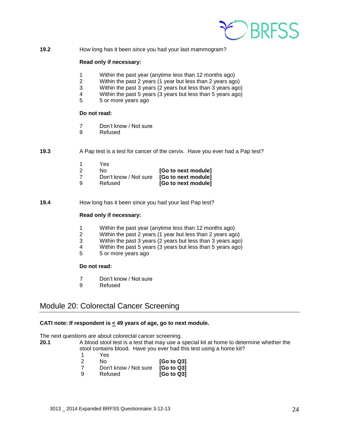

**19.2** How long has it been since you had your last mammogram?

#### **Read only if necessary:**

- 1 Within the past year (anytime less than 12 months ago)
- 2 Within the past 2 years (1 year but less than 2 years ago)
- 3 Within the past 3 years (2 years but less than 3 years ago)
- 4 Within the past 5 years (3 years but less than 5 years ago)<br>5 5 or more vears ago
- 5 5 or more years ago

#### **Do not read:**

- 7 Don't know / Not sure
- 9 Refused
- **19.3** A Pap test is a test for cancer of the cervix. Have you ever had a Pap test?

| 1 | Yes.                  |                     |
|---|-----------------------|---------------------|
| 2 | N٥                    | [Go to next module] |
| 7 | Don't know / Not sure | [Go to next module] |
| 9 | Refused               | [Go to next module] |

**19.4** How long has it been since you had your last Pap test?

#### **Read only if necessary:**

- 1 Within the past year (anytime less than 12 months ago)
- 2 Within the past 2 years (1 year but less than 2 years ago)
- 3 Within the past 3 years (2 years but less than 3 years ago)
- 4 Within the past 5 years (3 years but less than 5 years ago)
- 5 5 or more years ago

#### **Do not read:**

- 7 Don't know / Not sure
- 9 Refused

## <span id="page-23-0"></span>Module 20: Colorectal Cancer Screening

#### **CATI note: If respondent is < 49 years of age, go to next module.**

The next questions are about colorectal cancer screening.

- **20.1** A blood stool test is a test that may use a special kit at home to determine whether the stool contains blood. Have you ever had this test using a home kit?
	- 1 Yes
	- 2 No **[Go to Q3]**
	- 7 Don't know / Not sure **[Go to Q3]**
	- 9 Refused **[Go to Q3]**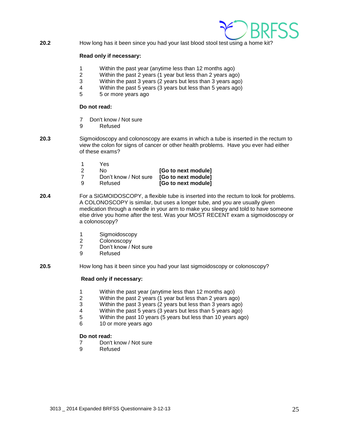

**20.2** How long has it been since you had your last blood stool test using a home kit?

#### **Read only if necessary:**

- 1 Within the past year (anytime less than 12 months ago)
- 2 Within the past 2 years (1 year but less than 2 years ago)
- 3 Within the past 3 years (2 years but less than 3 years ago)
- 4 Within the past 5 years (3 years but less than 5 years ago)
- 5 5 or more years ago

#### **Do not read:**

- 7 Don't know / Not sure
- 9 Refused
- **20.3** Sigmoidoscopy and colonoscopy are exams in which a tube is inserted in the rectum to view the colon for signs of cancer or other health problems. Have you ever had either of these exams?
	-
	- 1 Yes
	- No **[Go to next module]** 7 Don't know / Not sure **[Go to next module]**
	- 9 Refused **[Go to next module]**
- **20.4** For a SIGMOIDOSCOPY, a flexible tube is inserted into the rectum to look for problems. A COLONOSCOPY is similar, but uses a longer tube, and you are usually given medication through a needle in your arm to make you sleepy and told to have someone else drive you home after the test. Was your MOST RECENT exam a sigmoidoscopy or a colonoscopy?
	- 1 Sigmoidoscopy
	- 2 Colonoscopy
	- 7 Don't know / Not sure
	- 9 Refused
- **20.5** How long has it been since you had your last sigmoidoscopy or colonoscopy?

#### **Read only if necessary:**

- 1 Within the past year (anytime less than 12 months ago)
- 2 Within the past 2 years (1 year but less than 2 years ago)
- 3 Within the past 3 years (2 years but less than 3 years ago)<br>4 Within the past 5 years (3 years but less than 5 years ago)
- Within the past 5 years (3 years but less than 5 years ago)
- 5 Within the past 10 years (5 years but less than 10 years ago)
- 6 10 or more years ago

#### **Do not read:**

- 7 Don't know / Not sure
- 9 Refused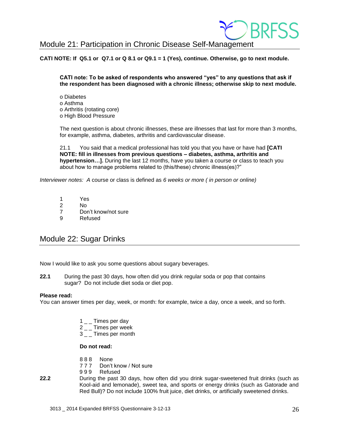## <span id="page-25-0"></span>Module 21: Participation in Chronic Disease Self-Management

#### **CATI NOTE: If Q5.1 or Q7.1 or Q 8.1 or Q9.1 = 1 (Yes), continue. Otherwise, go to next module.**

**CATI note: To be asked of respondents who answered "yes" to any questions that ask if the respondent has been diagnosed with a chronic illness; otherwise skip to next module.** 

o Diabetes o Asthma o Arthritis (rotating core) o High Blood Pressure

The next question is about chronic illnesses, these are illnesses that last for more than 3 months, for example, asthma, diabetes, arthritis and cardiovascular disease.

21.1 You said that a medical professional has told you that you have or have had **[CATI NOTE: fill in illnesses from previous questions – diabetes, asthma, arthritis and hypertension…].** During the last 12 months, have you taken a course or class to teach you about how to manage problems related to (this/these) chronic illness(es)?"

*Interviewer notes: A* course or class is defined as *6 weeks or more ( in person or online)*

- 1 Yes
- 2 No
- 7 Don't know/not sure
- 9 Refused

## <span id="page-25-1"></span>Module 22: Sugar Drinks

Now I would like to ask you some questions about sugary beverages.

**22.1** During the past 30 days, how often did you drink regular soda or pop that contains sugar? Do not include diet soda or diet pop.

#### **Please read:**

You can answer times per day, week, or month: for example, twice a day, once a week, and so forth.

- $1\_\_$  Times per day
- 2<sub>\_\_</sub>Times per week
- 3 Times per month

#### **Do not read:**

- 888 None<br>777 Don't
- Don't know / Not sure
- 9 9 9 Refused
- **22.2** During the past 30 days, how often did you drink sugar-sweetened fruit drinks (such as Kool-aid and lemonade), sweet tea, and sports or energy drinks (such as Gatorade and Red Bull)? Do not include 100% fruit juice, diet drinks, or artificially sweetened drinks.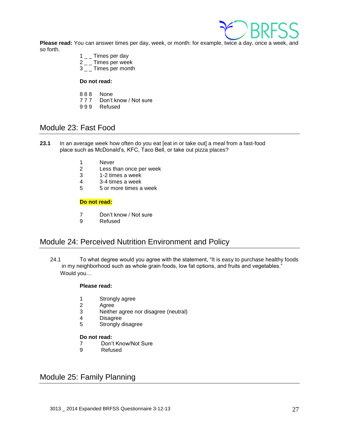

**Please read:** You can answer times per day, week, or month: for example, twice a day, once a week, and so forth.

- $1 \_$  Times per day
- $2 \_$  Times per week
- 3<sub>-</sub>Times per month

#### **Do not read:**

- 888 None<br>777 Don't
- Don't know / Not sure
- 999 Refused

## <span id="page-26-0"></span>Module 23: Fast Food

- **23.1** In an average week how often do you eat [eat in or take out] a meal from a fast-food place such as McDonald's, KFC, Taco Bell, or take out pizza places?
	- 1 Never
	- 2 Less than once per week<br>3 1-2 times a week
	- 3 1-2 times a week
	- 4 3-4 times a week
	- 5 5 or more times a week

#### **Do not read:**

- 7 Don't know / Not sure
- 9 Refused

## <span id="page-26-1"></span>Module 24: Perceived Nutrition Environment and Policy

24.1 To what degree would you agree with the statement, "It is easy to purchase healthy foods in my neighborhood such as whole grain foods, low fat options, and fruits and vegetables." Would you…

#### **Please read:**

- 1 Strongly agree<br>2 Agree
- **Agree**
- 3 Neither agree nor disagree (neutral)
- 4 Disagree
- 5 Strongly disagree

#### **Do not read:**

- 7 Don't Know/Not Sure
- 9 Refused

## <span id="page-26-2"></span>Module 25: Family Planning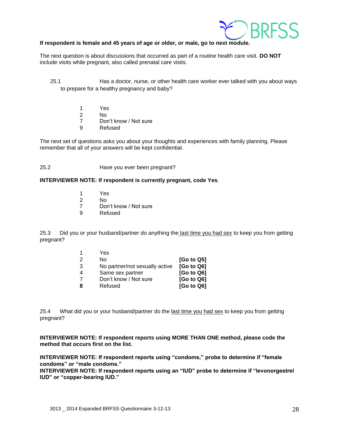

#### **If respondent is female and 45 years of age or older, or male, go to next module.**

The next question is about discussions that occurred as part of a routine health care visit. **DO NOT** include visits while pregnant, also called prenatal care visits.

25.1 Has a doctor, nurse, or other health care worker ever talked with you about ways to prepare for a healthy pregnancy and baby?

- 1 Yes
- 2 No
- 7 Don't know / Not sure
- 9 Refused

The next set of questions asks you about your thoughts and experiences with family planning. Please remember that all of your answers will be kept confidential.

#### 25.2 Have you ever been pregnant?

#### **INTERVIEWER NOTE: If respondent is currently pregnant, code Yes**.

- 1 Yes
- 2 No
- 7 Don't know / Not sure
- 9 Refused

25.3 Did you or your husband/partner do anything the last time you had sex to keep you from getting pregnant?

| 1 | Yes                            |                        |
|---|--------------------------------|------------------------|
| 2 | N٥                             | [G <sub>o</sub> to Q5] |
| 3 | No partner/not sexually active | [Go to Q6]             |
| 4 | Same sex partner               | [Go to Q6]             |
|   | Don't know / Not sure          | [Go to Q6]             |
| 8 | Refused                        | [Go to Q6]             |

25.4 What did you or your husband/partner do the last time you had sex to keep you from getting pregnant?

**INTERVIEWER NOTE: If respondent reports using MORE THAN ONE method, please code the method that occurs first on the list.** 

**INTERVIEWER NOTE: If respondent reports using "condoms," probe to determine if "female condoms" or "male condoms."**

**INTERVIEWER NOTE: If respondent reports using an "IUD" probe to determine if "levonorgestrel IUD" or "copper-bearing IUD."**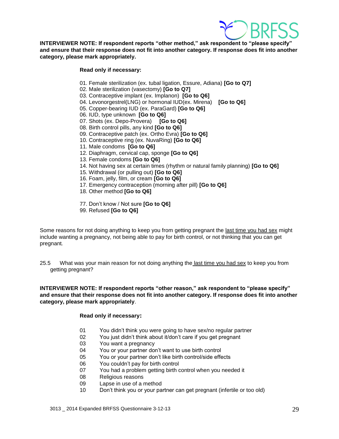

**INTERVIEWER NOTE: If respondent reports "other method," ask respondent to "please specify" and ensure that their response does not fit into another category. If response does fit into another category, please mark appropriately.**

#### **Read only if necessary:**

- 01. Female sterilization (ex. tubal ligation, Essure, Adiana) **[Go to Q7]**
- 02. Male sterilization (vasectomy) **[Go to Q7]**
- 03. Contraceptive implant (ex. Implanon) **[Go to Q6]**
- 04. Levonorgestrel(LNG) or hormonal IUD(ex. Mirena) **[Go to Q6]**
- 05. Copper-bearing IUD (ex. ParaGard) **[Go to Q6]**
- 06. IUD, type unknown **[Go to Q6]**
- 07. Shots (ex. Depo-Provera) **[Go to Q6]**
- 08. Birth control pills, any kind **[Go to Q6]**
- 09. Contraceptive patch (ex. Ortho Evra) **[Go to Q6]**
- 10. Contraceptive ring (ex. NuvaRing) **[Go to Q6]**
- 11. Male condoms **[Go to Q6]**
- 12. Diaphragm, cervical cap, sponge **[Go to Q6]**
- 13. Female condoms **[Go to Q6]**
- 14. Not having sex at certain times (rhythm or natural family planning) **[Go to Q6]**
- 15. Withdrawal (or pulling out) **[Go to Q6]**
- 16. Foam, jelly, film, or cream **[Go to Q6]**
- 17. Emergency contraception (morning after pill) **[Go to Q6]**
- 18. Other method **[Go to Q6]**
- 77. Don't know / Not sure **[Go to Q6]**
- 99. Refused **[Go to Q6]**

Some reasons for not doing anything to keep you from getting pregnant the last time you had sex might include wanting a pregnancy, not being able to pay for birth control, or not thinking that you can get pregnant*.*

25.5 What was your main reason for not doing anything the last time you had sex to keep you from getting pregnant?

**INTERVIEWER NOTE: If respondent reports "other reason," ask respondent to "please specify" and ensure that their response does not fit into another category. If response does fit into another category, please mark appropriately**.

#### **Read only if necessary:**

- 01 You didn't think you were going to have sex/no regular partner
- 02 You just didn't think about it/don't care if you get pregnant
- 03 You want a pregnancy
- 04 You or your partner don't want to use birth control
- 05 You or your partner don't like birth control/side effects
- 06 You couldn't pay for birth control
- 07 You had a problem getting birth control when you needed it
- 08 Religious reasons
- 09 Lapse in use of a method
- 10 Don't think you or your partner can get pregnant (infertile or too old)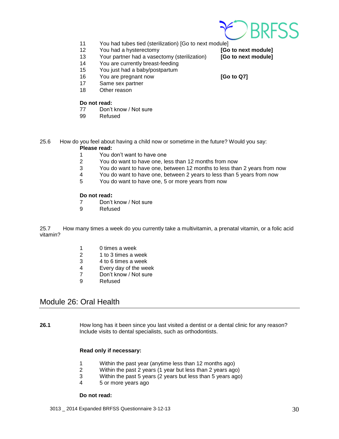

- 11 You had tubes tied (sterilization) [Go to next module]
- 12 You had a hysterectomy **[Go to next module]**
- 13 Your partner had a vasectomy (sterilization) **[Go to next module]**
- 14 You are currently breast-feeding
- 15 You just had a baby/postpartum
- 16 You are pregnant now **[Go to Q7]**
- 17 Same sex partner
- 18 Other reason

#### **Do not read:**

- 77 Don't know / Not sure
- 99 Refused
- 25.6 How do you feel about having a child now or sometime in the future? Would you say:

#### **Please read:**

- 1 You don't want to have one
- 2 You do want to have one, less than 12 months from now
- 3 You do want to have one, between 12 months to less than 2 years from now
- 4 You do want to have one, between 2 years to less than 5 years from now
- 5 You do want to have one, 5 or more years from now

#### **Do not read:**

- 7 Don't know / Not sure
- 9 Refused

25.7 How many times a week do you currently take a multivitamin, a prenatal vitamin, or a folic acid vitamin?

- 1 0 times a week
- 2 1 to 3 times a week
- 3 4 to 6 times a week
- 4 Every day of the week<br>7 Don't know / Not sure
- Don't know / Not sure
- 9 Refused

## <span id="page-29-0"></span>Module 26: Oral Health

**26.1** How long has it been since you last visited a dentist or a dental clinic for any reason? Include visits to dental specialists, such as orthodontists.

#### **Read only if necessary:**

- 1 Within the past year (anytime less than 12 months ago)
- 2 Within the past 2 years (1 year but less than 2 years ago)
- 3 Within the past 5 years (2 years but less than 5 years ago)
- 4 5 or more years ago

#### **Do not read:**